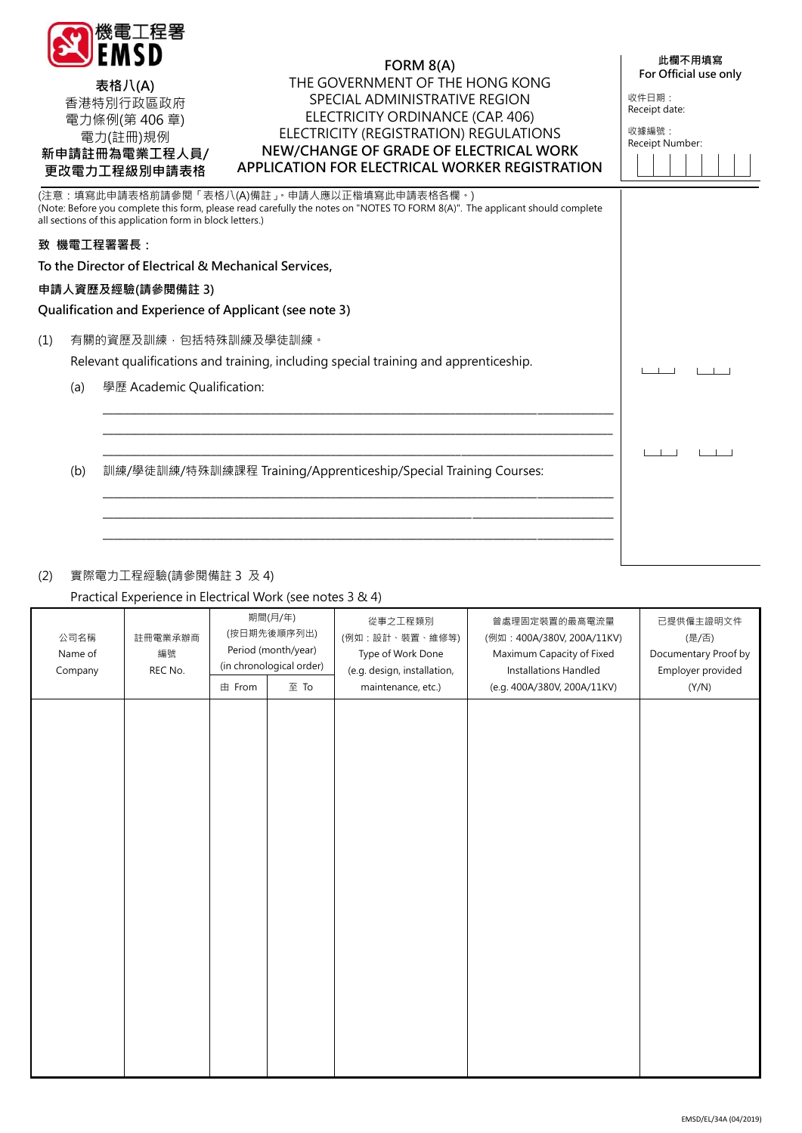

**表格八(A)** 香港特別行政區政府 電力條例(第 406 章) 電力(註冊)規例 **新申請註冊為電業工程人員/ 更改電力工程級別申請表格**

# **FORM 8(A)** THE GOVERNMENT OF THE HONG KONG SPECIAL ADMINISTRATIVE REGION ELECTRICITY ORDINANCE (CAP. 406) ELECTRICITY (REGISTRATION) REGULATIONS **NEW/CHANGE OF GRADE OF ELECTRICAL WORK APPLICATION FOR ELECTRICAL WORKER REGISTRATION**

| 此欄不用填寫                |  |  |  |  |  |  |
|-----------------------|--|--|--|--|--|--|
| For Official use only |  |  |  |  |  |  |

收件日期: Receipt date:

收據編號: Receipt Number:

|     | (注意:填寫此申請表格前請參閱「表格八(A)備註 」。申請人應以正楷填寫此申請表格各欄。)<br>(Note: Before you complete this form, please read carefully the notes on "NOTES TO FORM 8(A)". The applicant should complete<br>all sections of this application form in block letters.) |                                                                                                                                             |  |
|-----|-------------------------------------------------------------------------------------------------------------------------------------------------------------------------------------------------------------------------------------------|---------------------------------------------------------------------------------------------------------------------------------------------|--|
|     | 致 機電工程署署長:                                                                                                                                                                                                                                |                                                                                                                                             |  |
|     | To the Director of Electrical & Mechanical Services,                                                                                                                                                                                      |                                                                                                                                             |  |
|     | 申請人資歷及經驗(請參閱備註 3)                                                                                                                                                                                                                         |                                                                                                                                             |  |
|     | Qualification and Experience of Applicant (see note 3)                                                                                                                                                                                    |                                                                                                                                             |  |
| (1) | (a)                                                                                                                                                                                                                                       | 有關的資歷及訓練,包括特殊訓練及學徒訓練。<br>Relevant qualifications and training, including special training and apprenticeship.<br>學歷 Academic Qualification: |  |
|     | (b)                                                                                                                                                                                                                                       | 訓練/學徒訓練/特殊訓練課程 Training/Apprenticeship/Special Training Courses:                                                                            |  |

# (2) 實際電力工程經驗(請參閱備註 3 及 4)

## Practical Experience in Electrical Work (see notes 3 & 4)

| 公司名稱<br>Name of<br>Company | 註冊電業承辦商<br>編號<br>REC No. | 期間(月/年)<br>(按日期先後順序列出)<br>Period (month/year)<br>(in chronological order)<br>由 From<br>至 To |  | 從事之工程類別<br>(例如:設計、裝置、維修等)<br>Type of Work Done<br>(e.g. design, installation,<br>maintenance, etc.) | 曾處理固定裝置的最高電流量<br>(例如: 400A/380V, 200A/11KV)<br>Maximum Capacity of Fixed<br>Installations Handled<br>(e.g. 400A/380V, 200A/11KV) | 已提供僱主證明文件<br>(是/否)<br>Documentary Proof by<br>Employer provided<br>(Y/N) |
|----------------------------|--------------------------|---------------------------------------------------------------------------------------------|--|-----------------------------------------------------------------------------------------------------|----------------------------------------------------------------------------------------------------------------------------------|--------------------------------------------------------------------------|
|                            |                          |                                                                                             |  |                                                                                                     |                                                                                                                                  |                                                                          |
|                            |                          |                                                                                             |  |                                                                                                     |                                                                                                                                  |                                                                          |
|                            |                          |                                                                                             |  |                                                                                                     |                                                                                                                                  |                                                                          |
|                            |                          |                                                                                             |  |                                                                                                     |                                                                                                                                  |                                                                          |
|                            |                          |                                                                                             |  |                                                                                                     |                                                                                                                                  |                                                                          |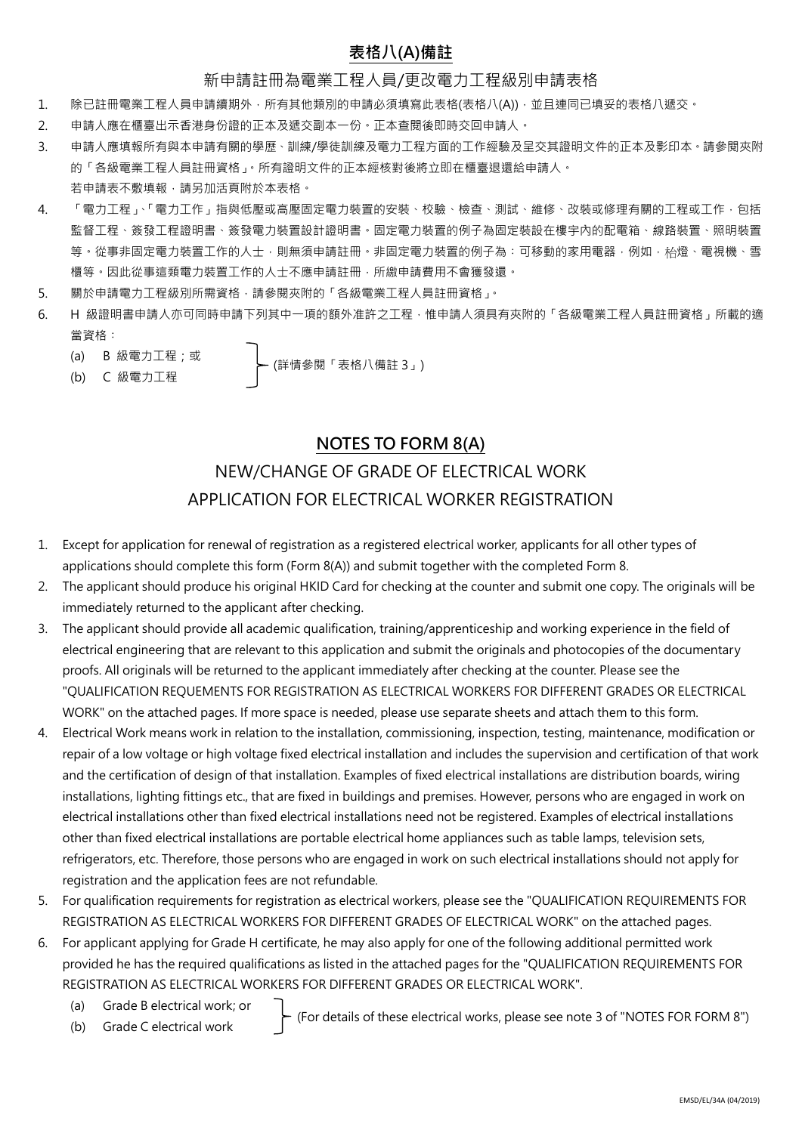# **表格八(A)備註**

# 新申請註冊為電業工程人員/更改電力工程級別申請表格

- 1. 除已註冊電業工程人員申請續期外,所有其他類別的申請必須填寫此表格(表格八(A)),並且連同已填妥的表格八遞交。
- 2. 申請人應在櫃臺出示香港身份證的正本及遞交副本一份。正本查閱後即時交回申請人。
- 3. 申請人應填報所有與本申請有關的學歷、訓練/學徒訓練及電力工程方面的工作經驗及呈交其證明文件的正本及影印本。請參閱夾附 的「各級電業工程人員註冊資格」。所有證明文件的正本經核對後將立即在櫃臺退還給申請人。 若申請表不敷填報,請另加活頁附於本表格。
- 4. 「電力工程」、「電力工作」指與低壓或高壓固定電力裝置的安裝、校驗、檢查、測試、維修、改裝或修理有關的工程或工作,包括 監督工程、簽發工程證明書、簽發電力裝置設計證明書。固定電力裝置的例子為固定裝設在樓宇內的配電箱、線路裝置、照明裝置 等。從事非固定電力裝置工作的人士,則無須申請註冊。非固定電力裝置的例子為:可移動的家用電器,例如, 枱燈、電視機、雪 櫃等。因此從事這類電力裝置工作的人士不應申請註冊,所繳申請費用不會獲發還。
- 5. 關於申請電力工程級別所需資格,請參閱夾附的「各級電業工程人員註冊資格」。
- 6. H 級證明書申請人亦可同時申請下列其中一項的額外准許之工程,惟申請人須具有夾附的「各級電業工程人員註冊資格」所載的適 當資格:
	- (a) B 級電力工程;或
	- (b) C 級電力工程

(詳情參閱「表格八備註 3」)

# **NOTES TO FORM 8(A)**

# NEW/CHANGE OF GRADE OF ELECTRICAL WORK APPLICATION FOR ELECTRICAL WORKER REGISTRATION

- 1. Except for application for renewal of registration as a registered electrical worker, applicants for all other types of applications should complete this form (Form 8(A)) and submit together with the completed Form 8.
- 2. The applicant should produce his original HKID Card for checking at the counter and submit one copy. The originals will be immediately returned to the applicant after checking.
- 3. The applicant should provide all academic qualification, training/apprenticeship and working experience in the field of electrical engineering that are relevant to this application and submit the originals and photocopies of the documentary proofs. All originals will be returned to the applicant immediately after checking at the counter. Please see the "QUALIFICATION REQUEMENTS FOR REGISTRATION AS ELECTRICAL WORKERS FOR DIFFERENT GRADES OR ELECTRICAL WORK" on the attached pages. If more space is needed, please use separate sheets and attach them to this form.
- 4. Electrical Work means work in relation to the installation, commissioning, inspection, testing, maintenance, modification or repair of a low voltage or high voltage fixed electrical installation and includes the supervision and certification of that work and the certification of design of that installation. Examples of fixed electrical installations are distribution boards, wiring installations, lighting fittings etc., that are fixed in buildings and premises. However, persons who are engaged in work on electrical installations other than fixed electrical installations need not be registered. Examples of electrical installations other than fixed electrical installations are portable electrical home appliances such as table lamps, television sets, refrigerators, etc. Therefore, those persons who are engaged in work on such electrical installations should not apply for registration and the application fees are not refundable.
- 5. For qualification requirements for registration as electrical workers, please see the "QUALIFICATION REQUIREMENTS FOR REGISTRATION AS ELECTRICAL WORKERS FOR DIFFERENT GRADES OF ELECTRICAL WORK" on the attached pages.
- 6. For applicant applying for Grade H certificate, he may also apply for one of the following additional permitted work provided he has the required qualifications as listed in the attached pages for the "QUALIFICATION REQUIREMENTS FOR REGISTRATION AS ELECTRICAL WORKERS FOR DIFFERENT GRADES OR ELECTRICAL WORK".
	- (a) Grade B electrical work; or
	- (b) Grade C electrical work

(For details of these electrical works, please see note 3 of "NOTES FOR FORM 8")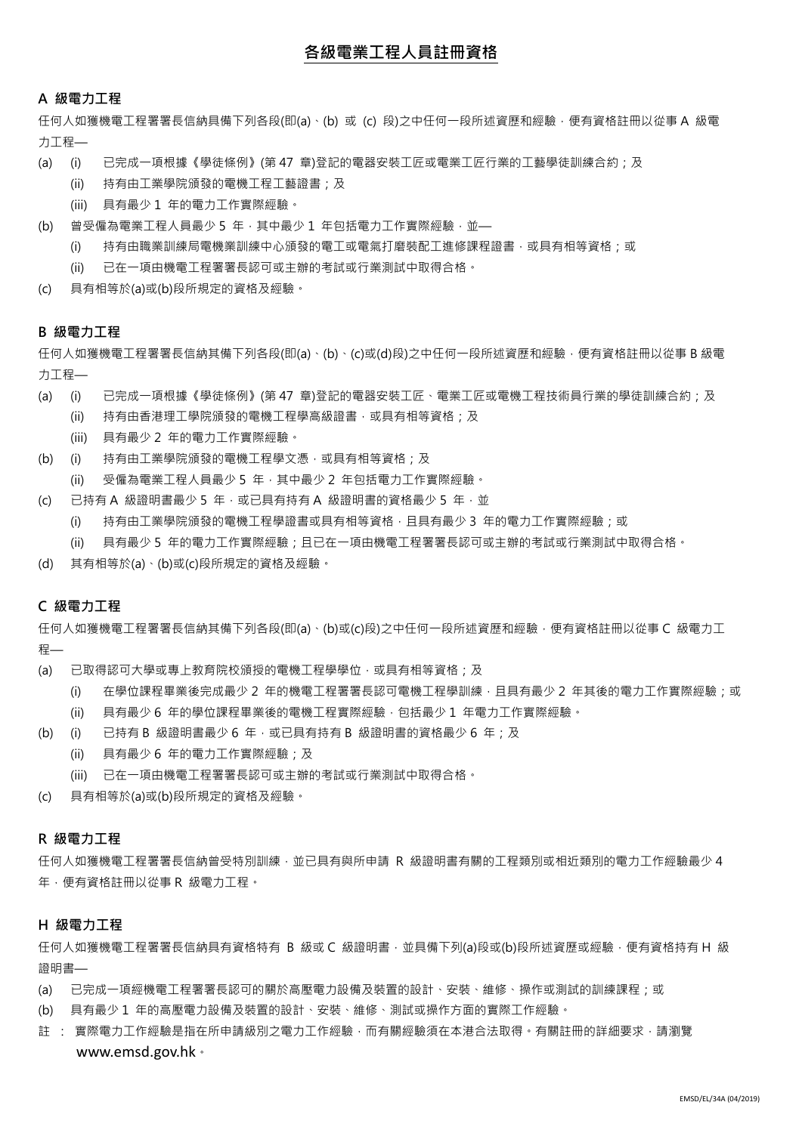# **各級電業工程人員註冊資格**

## **A 級電力工程**

任何人如獲機電工程署署長信納具備下列各段(即(a)、(b) 或 (c) 段)之中任何一段所述資歷和經驗,便有資格註冊以從事 A 級電 力工程—

- (a) (i) 已完成一項根據《學徒條例》(第 47 章)登記的電器安裝工匠或電業工匠行業的工藝學徒訓練合約;及
	- (ii) 持有由工業學院頒發的電機工程工藝證書;及
	- (iii) 具有最少 1 年的電力工作實際經驗。
- (b) 曾受僱為電業工程人員最少 5 年,其中最少 1 年包括電力工作實際經驗,並—
	- (i) 持有由職業訓練局電機業訓練中心頒發的電工或電氣打磨裝配工進修課程證書,或具有相等資格;或
	- (ii) 已在一項由機電工程署署長認可或主辦的考試或行業測試中取得合格。
- (c) 具有相等於(a)或(b)段所規定的資格及經驗。

#### **B 級電力工程**

任何人如獲機電工程署署長信納其備下列各段(即(a)、(b)、(c)或(d)段)之中任何一段所述資歷和經驗,便有資格註冊以從事 B 級電 力工程—

- (a) (i) 已完成一項根據《學徒條例》(第 47 章)登記的電器安裝工匠、電業工匠或電機工程技術員行業的學徒訓練合約;及
	- (ii) 持有由香港理工學院頒發的電機工程學高級證書,或具有相等資格;及
		- (iii) 具有最少 2 年的電力工作實際經驗。
- (b) (i) 持有由工業學院頒發的電機工程學文憑,或具有相等資格;及
	- (ii) 受僱為電業工程人員最少 5 年,其中最少 2 年包括電力工作實際經驗。
- (c) 已持有 A 級證明書最少 5 年,或已具有持有 A 級證明書的資格最少 5 年,並
	- (i) 持有由工業學院頒發的電機工程學證書或具有相等資格,且具有最少 3 年的電力工作實際經驗;或
	- (ii) 具有最少 5 年的電力工作實際經驗;且已在一項由機電工程署署長認可或主辦的考試或行業測試中取得合格。
- (d) 其有相等於(a)、(b)或(c)段所規定的資格及經驗。

#### **C 級電力工程**

任何人如獲機電工程署署長信納其備下列各段(即(a)、(b)或(c)段)之中任何一段所述資歷和經驗, 便有資格註冊以從事 C 級電力工 程—

- (a) 已取得認可大學或專上教育院校頒授的電機工程學學位,或具有相等資格;及
	- (i) 在學位課程畢業後完成最少 2 年的機電工程署署長認可電機工程學訓練 · 日具有最少 2 年其後的電力工作實際經驗 : 或 (ii) 具有最少 6 年的學位課程畢業後的電機工程實際經驗,包括最少 1 年電力工作實際經驗。
- (b) (i) 已持有 B 級證明書最少 6 年,或已具有持有 B 級證明書的資格最少 6 年;及
	- (ii) 具有最少 6 年的電力工作實際經驗;及
	- (iii) 已在一項由機電工程署署長認可或主辦的考試或行業測試中取得合格。
- (c) 具有相等於(a)或(b)段所規定的資格及經驗。

#### **R 級電力工程**

任何人如獲機電工程署署長信納曾受特別訓練,並已具有與所申請 R 級證明書有關的工程類別或相近類別的電力工作經驗最少 4 年,便有資格註冊以從事 R 級電力工程。

#### **H 級電力工程**

任何人如獲機電工程署署長信納具有資格特有 B 級或 C 級證明書,並具備下列(a)段或(b)段所述資歷或經驗,便有資格持有 H 級 證明書—

- (a) 已完成一項經機電工程署署長認可的關於高壓電力設備及裝置的設計、安裝、維修、操作或測試的訓練課程;或
- (b) 具有最少 1 年的高壓電力設備及裝置的設計、安裝、維修、測試或操作方面的實際工作經驗。
- 註 : 實際電力工作經驗是指在所申請級別之電力工作經驗,而有關經驗須在本港合法取得。有關註冊的詳細要求,請瀏覽 www.emsd.gov.hk。